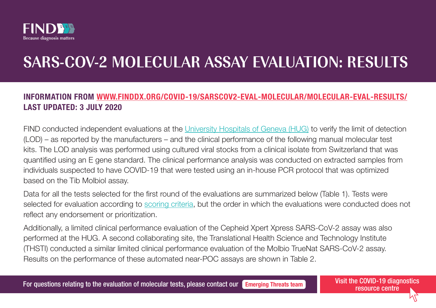

# SARS-COV-2 MOLECULAR ASSAY EVALUATION: RESULTS

# INFORMATION FROM [WWW.FINDDX.ORG/COVID-19/SARSCOV2-EVAL-MOLECULAR/MOLECULAR-EVAL-RESULTS/](http://www.finddx.org/covid-19/sarscov2-eval-molecular/molecular-eval-results/) LAST UPDATED: 3 JULY 2020

FIND conducted independent evaluations at the [University Hospitals of Geneva \(HUG\)](https://www.hug.ch/) to verify the limit of detection (LOD) – as reported by the manufacturers – and the clinical performance of the following manual molecular test kits. The LOD analysis was performed using cultured viral stocks from a clinical isolate from Switzerland that was quantified using an E gene standard. The clinical performance analysis was conducted on extracted samples from individuals suspected to have COVID-19 that were tested using an in-house PCR protocol that was optimized based on the Tib Molbiol assay.

Data for all the tests selected for the first round of the evaluations are summarized below (Table 1). Tests were selected for evaluation according to [scoring criteria,](https://www.finddx.org/covid-19/sarscov2-eval-molecular/) but the order in which the evaluations were conducted does not reflect any endorsement or prioritization.

Additionally, a limited clinical performance evaluation of the Cepheid Xpert Xpress SARS-CoV-2 assay was also performed at the HUG. A second collaborating site, the Translational Health Science and Technology Institute (THSTI) conducted a similar limited clinical performance evaluation of the Molbio TrueNat SARS-CoV-2 assay. Results on the performance of these automated near-POC assays are shown in Table 2.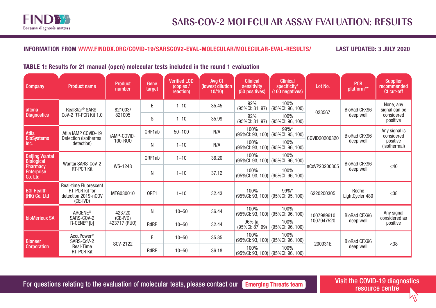

# TABLE 1: Results for 21 manual (open) molecular tests included in the round 1 evaluation

| <b>Company</b>                                  | <b>Product name</b>                                                                        | <b>Product</b><br>number   | Gene<br>target | <b>Verified LOD</b><br>(copies /<br>reaction) | Avg Ct<br>(lowest dilution<br>10/10 | <b>Clinical</b><br>sensitivity<br>(50 positives) | <b>Clinical</b><br>specificity*<br>(100 negatives) | Lot No.       | <b>PCR</b><br>platform**         | <b>Supplier</b><br>recommended<br>Ct cut-off            |
|-------------------------------------------------|--------------------------------------------------------------------------------------------|----------------------------|----------------|-----------------------------------------------|-------------------------------------|--------------------------------------------------|----------------------------------------------------|---------------|----------------------------------|---------------------------------------------------------|
| altona                                          | RealStar <sup>®</sup> SARS-                                                                | 821003/                    | E              | $1 - 10$                                      | 35.45                               | 92%<br>(95%CI: 81, 97)                           | 100%<br>(95%CI: 96, 100)                           | 023567        | <b>BioRad CFX96</b><br>deep well | None; any<br>signal can be<br>considered<br>positive    |
| <b>Diagnostics</b>                              | CoV-2 RT-PCR Kit 1.0                                                                       | 821005                     | S              | $1 - 10$                                      | 35.99                               | 92%<br>$(95\%$ CI: 81, 97)                       | 100%<br>(95%CI: 96, 100)                           |               |                                  |                                                         |
| <b>Atila</b><br><b>BioSystems</b>               | Atila iAMP COVID-19<br>Detection (isothermal                                               | iAMP-COVID-                | ORF1ab         | $50 - 100$                                    | N/A                                 | 100%<br>(95%Cl: 93, 100) (95%Cl: 95, 100)        | 99%*                                               | COVID20200320 | <b>BioRad CFX96</b><br>deep well | Any signal is<br>considered<br>positive<br>(isothermal) |
| Inc.                                            | detection)                                                                                 | 100-RU0                    | N              | $1 - 10$                                      | N/A                                 | 100%<br>$(95\%$ CI: 93, 100) (95%CI: 96, 100)    | 100%                                               |               |                                  |                                                         |
| <b>Beijing Wantai</b><br><b>Biological</b>      | Wantai SARS-CoV-2                                                                          |                            | ORF1ab         | $1 - 10$                                      | 36.20                               | 100%<br>(95%Cl: 93, 100) (95%Cl: 96, 100)        | 100%                                               | nCoVP20200305 | <b>BioRad CFX96</b><br>deep well | $\leq 40$                                               |
| <b>Pharmacy</b><br><b>Enterprise</b><br>Co. Ltd | <b>RT-PCR Kit</b>                                                                          | WS-1248                    | N              | $1 - 10$                                      | 37.12                               | 100%<br>(95%CI: 93, 100)                         | 100%<br>$(95\%$ CI: 96, 100)                       |               |                                  |                                                         |
| <b>BGI Health</b><br>(HK) Co. Ltd               | <b>Real-time Fluorescent</b><br><b>RT-PCR kit for</b><br>detection 2019-nCOV<br>$(CE-IVD)$ | MFG030010                  | ORF1           | $1 - 10$                                      | 32.43                               | 100%<br>(95%Cl: 93, 100) (95%Cl: 95, 100)        | 99%*                                               | 6220200305    | Roche<br>LightCycler 480         | $\leq 38$                                               |
|                                                 | <b>ARGENE®</b>                                                                             | 423720                     | N              | $10 - 50$                                     | 36.44                               | 100%<br>(95%CI: 93, 100)                         | 100%<br>$(95\%$ CI: 96, 100)                       | 1007989610    | <b>BioRad CFX96</b>              | Any signal<br>considered as<br>positive                 |
| bioMérieux SA                                   | SARS-COV-2<br>R-GENE <sup>®</sup> [b]                                                      | $(CE-IVD)$<br>423717 (RUO) | <b>RdRP</b>    | $10 - 50$                                     | 32.44                               | 96% [a]<br>$(95\%$ CI: $87, 99)$                 | 100%<br>(95%CI: 96, 100)                           | 1007947520    | deep well                        |                                                         |
| <b>Bioneer</b><br><b>Corporation</b>            | AccuPower <sup>®</sup><br>SARS-CoV-2<br>Real-Time<br><b>RT-PCR Kit</b>                     | SCV-2122                   | E.             | $10 - 50$                                     | 35.85                               | 100%<br>(95%Cl: 93, 100) (95%Cl: 96, 100)        | 100%                                               | 200931E       | <b>BioRad CFX96</b><br>deep well | $<$ 38                                                  |
|                                                 |                                                                                            |                            | <b>RdRP</b>    | $10 - 50$                                     | 36.18                               | 100%<br>$(95\%$ CI: 93, 100) (95%CI: 96, 100)    | 100%                                               |               |                                  |                                                         |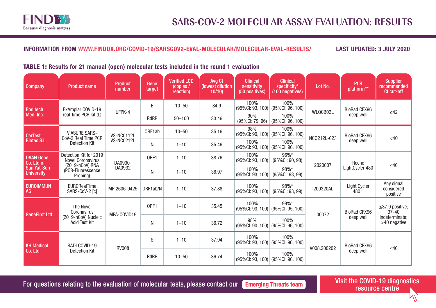

# TABLE 1: Results for 21 manual (open) molecular tests included in the round 1 evaluation

| <b>Company</b>                          | <b>Product name</b>                                | <b>Product</b><br>number | Gene<br>target | <b>Verified LOD</b><br>(copies /<br>reaction) | Avg Ct<br>(lowest dilution<br>10/10 | <b>Clinical</b><br>sensitivity<br>(50 positives) | <b>Clinical</b><br>specificity*<br>(100 negatives) | Lot No.          | <b>PCR</b><br>platform**         | Supplier<br>recommended<br>Ct cut-off                                |
|-----------------------------------------|----------------------------------------------------|--------------------------|----------------|-----------------------------------------------|-------------------------------------|--------------------------------------------------|----------------------------------------------------|------------------|----------------------------------|----------------------------------------------------------------------|
| <b>Boditech</b>                         | ExAmplar COVID-19                                  | UFPK-4                   | E              | $10 - 50$                                     | 34.9                                | 100%<br>(95%Cl: 93, 100) (95%Cl: 96, 100)        | 100%                                               | WLQCB02L         | BioRad CFX96                     |                                                                      |
| Med. Inc.                               | real-time PCR kit (L)                              |                          | <b>RdRP</b>    | $50 - 100$                                    | 33.46                               | 90%<br>(95%CI: 79, 96)                           | 100%<br>(95%CI: 96, 100)                           |                  | deep well                        | $\leq 42$                                                            |
| <b>CerTest</b>                          | <b>VIASURE SARS-</b><br>CoV-2 Real Time PCR        | VS-NC0112L               | ORF1ab         | $10 - 50$                                     | 35.16                               | 98%<br>(95%Cl: 90, 100) (95%Cl, 96, 100)         | 100%                                               | NC0212L-023      | <b>BioRad CFX96</b><br>deep well | $<$ 40                                                               |
| <b>Biotec S.L.</b>                      | Detection Kit                                      | VS-NC0212L               | N              | $1 - 10$                                      | 35.46                               | 100%                                             | 100%<br>(95%Cl: 93, 100) (95%Cl: 96, 100)          |                  |                                  |                                                                      |
| <b>DAAN Gene</b><br>Co. Ltd of          | Detection Kit for 2019<br><b>Novel Coronavirus</b> | DA0930-                  | ORF1           | $1 - 10$                                      | 38.76                               | 100%<br>(95%Cl: 93, 100)                         | 96%*<br>(95%CI: 90, 98)                            | 2020007          | Roche<br>LightCycler 480         | $\leq 40$                                                            |
| <b>Sun Yat-Sen</b><br><b>University</b> | (2019-nCoV) RNA<br>(PCR-Fluorescence<br>Probing)   | DA0932                   | N              | $1 - 10$                                      | 36.97                               | 100%<br>(95%CI: 93, 100)                         | 98%*<br>(95%CI: 93, 99)                            |                  |                                  |                                                                      |
| <b>EUROIMMUN</b><br>AG                  | <b>EURORealTime</b><br>SARS-CoV-2 [c]              | MP 2606-0425             | ORF1ab/N       | $1 - 10$                                      | 37.88                               | 100%<br>(95%CI: 93, 100)                         | 98%*<br>(95%CI: 93, 99)                            | <b>I200320AL</b> | Light Cycler<br>480 II           | Any signal<br>considered<br>positive                                 |
| <b>GeneFirst Ltd</b>                    | <b>The Novel</b><br>Coronavirus                    | MPA-COVID19              | ORF1           | $1 - 10$                                      | 35.45                               | 100%<br>(95%CI: 93, 100)                         | 99%*<br>(95%Cl: 95, 100)                           | 00072            | <b>BioRad CFX96</b><br>deep well | $\leq$ 37.0 positive;<br>$37 - 40$<br>indeterminate;<br>>40 negative |
|                                         | (2019-nCoV) Nucleic<br><b>Acid Test Kit</b>        |                          | N              | $1 - 10$                                      | 36.72                               | 98%<br>(95%CI: 90, 100)                          | 100%<br>(95%CI: 96, 100)                           |                  |                                  |                                                                      |
| <b>KH Medical</b><br>Co. Ltd            | RADI COVID-19                                      | <b>RV008</b>             | S              | $1 - 10$                                      | 37.94                               | 100%<br>(95%CI: 93, 100)                         | 100%<br>(95%CI: 96, 100)                           | V008.200202      | <b>BioRad CFX96</b><br>deep well | $\leq 40$                                                            |
|                                         | <b>Detection Kit</b>                               |                          | <b>RdRP</b>    | $10 - 50$                                     | 36.74                               | 100%<br>(95%CI: 93, 100)                         | 100%<br>(95%CI: 96, 100)                           |                  |                                  |                                                                      |

For questions relating to the evaluation of molecular tests, please contact our **[Emerging Threats team](mailto:RFP_ET%40finddx.org?subject=)** Visit the COVID-19 diagnostics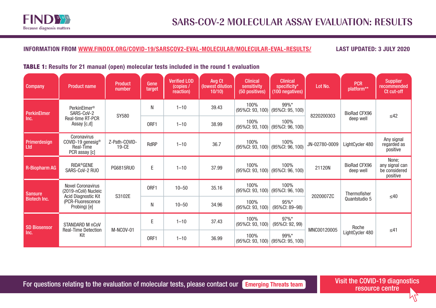

#### TABLE 1: Results for 21 manual (open) molecular tests included in the round 1 evaluation

| <b>Company</b>              | <b>Product name</b>                                            | <b>Product</b><br>number | Gene<br>target | <b>Verified LOD</b><br>(copies /<br>reaction) | Avg Ct<br>(lowest dilution<br>10/10 | <b>Clinical</b><br>sensitivity<br>(50 positives) | <b>Clinical</b><br>specificity*<br>(100 negatives) | Lot No.       | <b>PCR</b><br>platform**         | <b>Supplier</b><br>recommended<br>Ct cut-off         |
|-----------------------------|----------------------------------------------------------------|--------------------------|----------------|-----------------------------------------------|-------------------------------------|--------------------------------------------------|----------------------------------------------------|---------------|----------------------------------|------------------------------------------------------|
| <b>PerkinElmer</b>          | PerkinElmer <sup>®</sup><br>SARS-CoV-2                         | SY580                    | N              | $1 - 10$                                      | 39.43                               | 100%<br>(95%CI: 93, 100)                         | 99%*<br>(95%CI: 95, 100)                           | 8220200303    | BioRad CFX96<br>deep well        | $\leq 42$                                            |
| Inc.                        | Real-time RT-PCR<br>Assay [c,d]                                |                          | ORF1           | $1 - 10$                                      | 38.99                               | 100%<br>(95%CI: 93, 100)                         | 100%<br>(95%CI: 96, 100)                           |               |                                  |                                                      |
| Primerdesign<br>Ltd         | Coronavirus<br>COVID-19 genesig®<br>Real-Time<br>PCR assay [c] | Z-Path-COVID-<br>$19-CE$ | RdRP           | $1 - 10$                                      | 36.7                                | 100%<br>(95%CI: 93, 100)                         | 100%<br>(95%Cl: 96, 100)                           | JN-02780-0009 | LightCycler 480                  | Any signal<br>regarded as<br>positive                |
| <b>R-Biopharm AG</b>        | <b>RIDA®GENE</b><br>SARS-CoV-2 RUO                             | PG6815RU0                | E              | $1 - 10$                                      | 37.99                               | 100%<br>(95%CI: 93, 100)                         | 100%<br>(95%CI: 96, 100)                           | 21120N        | <b>BioRad CFX96</b><br>deep well | None:<br>any signal can<br>be considered<br>positive |
| <b>Sansure</b>              | <b>Novel Coronavirus</b><br>(2019-nCoV) Nucleic                | S3102E                   | ORF1           | $10 - 50$                                     | 35.16                               | 100%<br>(95%CI: 93, 100)                         | 100%<br>(95%CI: 96, 100)                           | 2020007ZC     | Thermofisher<br>Quantstudio 5    | $\leq 40$                                            |
| <b>Biotech Inc.</b>         | Acid Diagnostic Kit<br>(PCR-Fluorescence<br>Probing) [e]       |                          | N              | $10 - 50$                                     | 34.96                               | 100%<br>(95%CI: 93, 100)                         | 95%*<br>(95%CI: 89-98)                             |               |                                  |                                                      |
| <b>SD Biosensor</b><br>Inc. | STANDARD M nCoV<br><b>Real-Time Detection</b><br>Kit           | M-NCOV-01                | E              | $1 - 10$                                      | 37.43                               | 100%<br>(95%CI: 93, 100)                         | 97%*<br>(95%CI: 92, 99)                            | MNC00120005   | Roche<br>LightCycler 480         | $\leq 41$                                            |
|                             |                                                                |                          | ORF1           | $1 - 10$                                      | 36.99                               | 100%<br>(95%CI: 93, 100)                         | 99%*<br>(95%CI: 95, 100)                           |               |                                  |                                                      |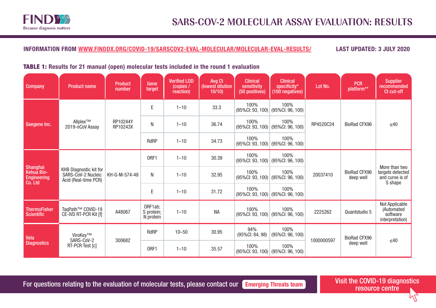

#### TABLE 1: Results for 21 manual (open) molecular tests included in the round 1 evaluation

| <b>Company</b>                                                 | <b>Product name</b>                                                         | <b>Product</b><br>number | Gene<br>target                     | <b>Verified LOD</b><br>$\sqrt{\text{copies}}$<br>reaction) | Avg Ct<br>(lowest dilution<br>10/10 | <b>Clinical</b><br>sensitivity<br>(50 positives) | <b>Clinical</b><br>specificity*<br>(100 negatives) | Lot No.    | <b>PCR</b><br>platform**         | <b>Supplier</b><br>recommended<br>Ct cut-off                    |
|----------------------------------------------------------------|-----------------------------------------------------------------------------|--------------------------|------------------------------------|------------------------------------------------------------|-------------------------------------|--------------------------------------------------|----------------------------------------------------|------------|----------------------------------|-----------------------------------------------------------------|
|                                                                |                                                                             |                          | $\mathsf E$                        | $1 - 10$                                                   | 33.3                                | 100%<br>(95%CI: 93, 100)                         | 100%<br>(95%CI: 96, 100)                           |            | <b>BioRad CFX96</b>              | $\leq 40$                                                       |
| Seegene Inc.                                                   | Allplex™<br>2019-nCoV Assay                                                 | RP10244Y<br>RP10243X     | N                                  | $1 - 10$                                                   | 36.74                               | 100%<br>(95%CI: 93, 100)                         | 100%<br>(95%Cl: 96, 100)                           | RP4520C24  |                                  |                                                                 |
|                                                                |                                                                             |                          | <b>RdRP</b>                        | $1 - 10$                                                   | 34.73                               | 100%<br>(95%CI: 93, 100)                         | 100%<br>(95%CI: 96, 100)                           |            |                                  |                                                                 |
| Shanghai<br><b>Kehua Bio-</b><br><b>Engineering</b><br>Co. Ltd | <b>KHB Diagnostic kit for</b><br>SARS-CoV-2 Nucleic<br>Acid (Real-time PCR) | KH-G-M-574-48            | ORF1                               | $1 - 10$                                                   | 30.39                               | 100%<br>(95%CI: 93, 100)                         | 100%<br>(95%CI: 96, 100)                           | 20037410   | <b>BioRad CFX96</b><br>deep well | More than two<br>targets detected<br>and curve is of<br>S shape |
|                                                                |                                                                             |                          | N                                  | $1 - 10$                                                   | 32.95                               | 100%<br>(95%CI: 93, 100)                         | 100%<br>(95%Cl: 96, 100)                           |            |                                  |                                                                 |
|                                                                |                                                                             |                          | E                                  | $1 - 10$                                                   | 31.72                               | 100%<br>(95%CI: 93, 100)                         | 100%<br>(95%CI: 96, 100)                           |            |                                  |                                                                 |
| <b>ThermoFisher</b><br><b>Scientific</b>                       | TaqPath™ COVID-19<br>CE-IVD RT-PCR Kit [f]                                  | A48067                   | ORF1ab;<br>S protein;<br>N protein | $1 - 10$                                                   | <b>NA</b>                           | 100%<br>(95%CI: 93, 100)                         | 100%<br>(95%Cl: 96, 100)                           | 2225262    | Quantstudio 5                    | Not Applicable<br>(Automated<br>software<br>interpretation)     |
| Vela<br><b>Diagnostics</b>                                     | ViroKey™<br>SARS-CoV-2<br>RT-PCR Test [c]                                   | 300682                   | <b>RdRP</b>                        | $10 - 50$                                                  | 30.95                               | 94%<br>(95%CI: 84, 98)                           | 100%<br>(95%CI: 96, 100)                           |            | <b>BioRad CFX96</b><br>deep well | $\leq 40$                                                       |
|                                                                |                                                                             |                          | ORF1                               | $1 - 10$                                                   | 35.57                               | 100%<br>(95%CI: 93, 100)                         | 100%<br>(95%CI: 96, 100)                           | 1000000597 |                                  |                                                                 |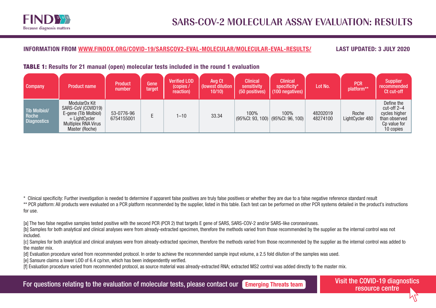

# TABLE 1: Results for 21 manual (open) molecular tests included in the round 1 evaluation

| <b>Company</b>                              | <b>Product name</b>                                                                                                          | <b>Product</b><br>number | Gene<br>target | <b>Verified LOD</b><br>(copies /<br>reaction) | Avg Ct<br>(lowest dilution<br>10/10 | <b>Clinical</b><br>sensitivity<br>(50 positives) | <b>Clinical</b><br>specificity*<br>$(100$ negatives) | Lot No.              | <b>PCR</b><br>platform** | <b>Supplier</b><br>recommended<br>Ct cut-off                                               |
|---------------------------------------------|------------------------------------------------------------------------------------------------------------------------------|--------------------------|----------------|-----------------------------------------------|-------------------------------------|--------------------------------------------------|------------------------------------------------------|----------------------|--------------------------|--------------------------------------------------------------------------------------------|
| Tib Molbiol/<br>Roche<br><b>Diagnostics</b> | ModularDx Kit<br>SARS-CoV (COVID19)<br>E-gene (Tib Molbiol)<br>+ LightCycler<br><b>Multiplex RNA Virus</b><br>Master (Roche) | 53-0776-96<br>6754155001 |                | $1 - 10$                                      | 33.34                               | 100%                                             | 100%<br>$(95\%$ CI: 93, 100) $(95\%$ CI: 96, 100)    | 48202019<br>48274100 | Roche<br>LightCycler 480 | Define the<br>$cut-off 2-4$<br>cycles higher<br>than observed<br>Cp value for<br>10 copies |

\* Clinical specificity: Further investigation is needed to determine if apparent false positives are truly false positives or whether they are due to a false negative reference standard result

\*\* PCR platform: All products were evaluated on a PCR platform recommended by the supplier, listed in this table. Each test can be performed on other PCR systems detailed in the product's instructions for use.

[a] The two false negative samples tested positive with the second PCR (PCR 2) that targets E gene of SARS, SARS-COV-2 and/or SARS-like coronaviruses.

[b] Samples for both analytical and clinical analyses were from already-extracted specimen, therefore the methods varied from those recommended by the supplier as the internal control was not included.

[c] Samples for both analytical and clinical analyses were from already-extracted specimen, therefore the methods varied from those recommended by the supplier as the internal control was added to the master mix.

[d] Evaluation procedure varied from recommended protocol. In order to achieve the recommended sample input volume, a 2.5 fold dilution of the samples was used.

[e] Sansure claims a lower LOD of 6.4 cp/rxn, which has been independently verified.

[f] Evaluation procedure varied from recommended protocol, as source material was already-extracted RNA; extracted MS2 control was added directly to the master mix.

For questions relating to the evaluation of molecular tests, please contact our **[Emerging Threats team](mailto:RFP_ET%40finddx.org?subject=)** Visit the COVID-19 diagnostics